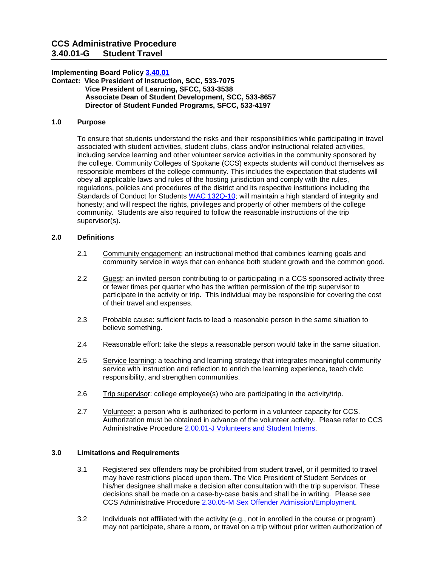# **CCS Administrative Procedure 3.40.01-G Student Travel**

## **Implementing Board Polic[y 3.40.01](https://ccs.spokane.edu/About-Us/Leadership/Board-of-Trustees/Policies-Procedures/Chapter3#AccWE2-4)**

**Contact: Vice President of Instruction, SCC, 533-7075 Vice President of Learning, SFCC, 533-3538 Associate Dean of Student Development, SCC, 533-8657 Director of Student Funded Programs, SFCC, 533-4197** 

# **1.0 Purpose**

 To ensure that students understand the risks and their responsibilities while participating in travel associated with student activities, student clubs, class and/or instructional related activities, responsible members of the college community. This includes the expectation that students will community. Students are also required to follow the reasonable instructions of the trip including service learning and other volunteer service activities in the community sponsored by the college. Community Colleges of Spokane (CCS) expects students will conduct themselves as obey all applicable laws and rules of the hosting jurisdiction and comply with the rules, regulations, policies and procedures of the district and its respective institutions including the Standards of Conduct for Students [WAC 132Q-10;](http://apps.leg.wa.gov/wac/default.aspx?cite=132Q-10-101) will maintain a high standard of integrity and honesty; and will respect the rights, privileges and property of other members of the college supervisor(s).

# **2.0 Definitions**

- 2.1 Community engagement: an instructional method that combines learning goals and community service in ways that can enhance both student growth and the common good.
- participate in the activity or trip. This individual may be responsible for covering the cost 2.2 Guest: an invited person contributing to or participating in a CCS sponsored activity three or fewer times per quarter who has the written permission of the trip supervisor to of their travel and expenses.
- believe something. 2.3 Probable cause: sufficient facts to lead a reasonable person in the same situation to
- 2.4 Reasonable effort: take the steps a reasonable person would take in the same situation.
- 2.5 Service learning: a teaching and learning strategy that integrates meaningful community service with instruction and reflection to enrich the learning experience, teach civic responsibility, and strengthen communities.
- 2.6 Trip supervisor: college employee(s) who are participating in the activity/trip.
- 2.7 Volunteer: a person who is authorized to perform in a volunteer capacity for CCS. Authorization must be obtained in advance of the volunteer activity. Please refer to CCS Administrative Procedure [2.00.01-J Volunteers and Student Interns.](https://ccs.spokane.edu/ccsglobal/media/Global/PDFs/District/Policies/CH2/2.00.00_PersAdmin/2-00-01J_Volunteers.pdf)

# **3.0 Limitations and Requirements**

- decisions shall be made on a case-by-case basis and shall be in writing. Please see CCS Administrative Procedure 2.30.05-M Sex Offender Admission/Employment. 3.1 Registered sex offenders may be prohibited from student travel, or if permitted to travel may have restrictions placed upon them. The Vice President of Student Services or his/her designee shall make a decision after consultation with the trip supervisor. These
- CCS Administrative Procedure <u>2.30.05-M Sex Offender Admission/Employment</u>.<br>3.2 Individuals not affiliated with the activity (e.g., not in enrolled in the course or program) may not participate, share a room, or travel on a trip without prior written authorization of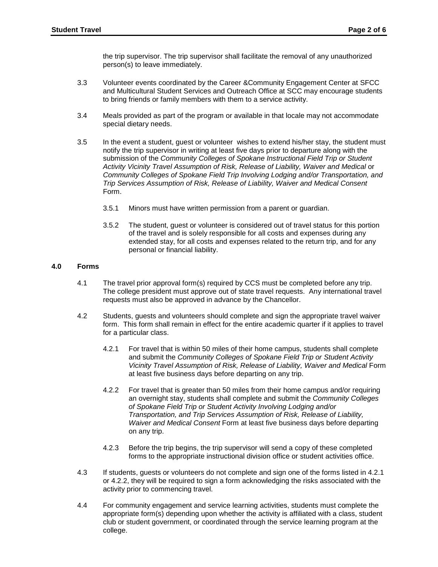the trip supervisor. The trip supervisor shall facilitate the removal of any unauthorized person(s) to leave immediately.

- 3.3 Volunteer events coordinated by the Career &Community Engagement Center at SFCC and Multicultural Student Services and Outreach Office at SCC may encourage students to bring friends or family members with them to a service activity.
- 3.4 Meals provided as part of the program or available in that locale may not accommodate special dietary needs.
- notify the trip supervisor in writing at least five days prior to departure along with the  *Activity Vicinity Travel Assumption of Risk, Release of Liability, Waiver and Medical* or 3.5 In the event a student, guest or volunteer wishes to extend his/her stay, the student must submission of the *Community Colleges of Spokane Instructional Field Trip or Student Community Colleges of Spokane Field Trip Involving Lodging and/or Transportation, and Trip Services Assumption of Risk, Release of Liability, Waiver and Medical Consent*  Form.
	- 3.5.1 Minors must have written permission from a parent or guardian.
	- of the travel and is solely responsible for all costs and expenses during any 3.5.2 The student, guest or volunteer is considered out of travel status for this portion extended stay, for all costs and expenses related to the return trip, and for any personal or financial liability.

#### **4.0 Forms**

- $4.1$  The college president must approve out of state travel requests. Any international travel The travel prior approval form(s) required by CCS must be completed before any trip. requests must also be approved in advance by the Chancellor.
- form. This form shall remain in effect for the entire academic quarter if it applies to travel for a particular class. 4.2 Students, guests and volunteers should complete and sign the appropriate travel waiver
	- 4.2.1 For travel that is within 50 miles of their home campus, students shall complete at least five business days before departing on any trip. and submit the *Community Colleges of Spokane Field Trip or Student Activity*  Vicinity Travel Assumption of Risk, Release of Liability, Waiver and Medical Form
	- 4.2.2 For travel that is greater than 50 miles from their home campus and/or requiring an overnight stay, students shall complete and submit the *Community Colleges of Spokane Field Trip or Student Activity Involving Lodging and/or Transportation, and Trip Services Assumption of Risk, Release of Liability, Waiver and Medical Consent* Form at least five business days before departing on any trip.
	- 4.2.3 Before the trip begins, the trip supervisor will send a copy of these completed forms to the appropriate instructional division office or student activities office.
- 4.3 If students, guests or volunteers do not complete and sign one of the forms listed in 4.2.1 or 4.2.2, they will be required to sign a form acknowledging the risks associated with the activity prior to commencing travel.
- appropriate form(s) depending upon whether the activity is affiliated with a class, student 4.4 For community engagement and service learning activities, students must complete the club or student government, or coordinated through the service learning program at the college.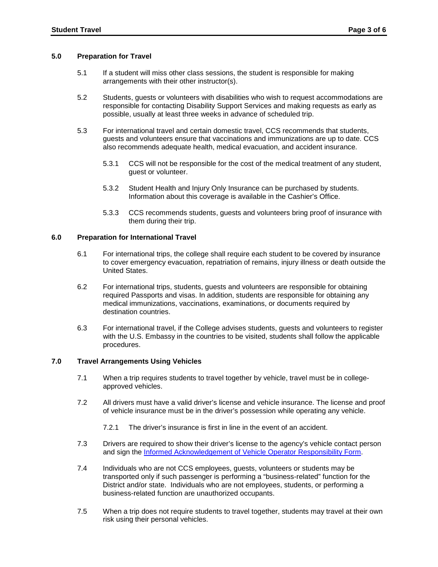#### **5.0 Preparation for Travel**

- 5.1 If a student will miss other class sessions, the student is responsible for making arrangements with their other instructor(s).
- 5.2 Students, guests or volunteers with disabilities who wish to request accommodations are responsible for contacting Disability Support Services and making requests as early as possible, usually at least three weeks in advance of scheduled trip.
- 5.3 For international travel and certain domestic travel, CCS recommends that students, guests and volunteers ensure that vaccinations and immunizations are up to date. CCS also recommends adequate health, medical evacuation, and accident insurance.
	- $5.3.1$ 5.3.1 CCS will not be responsible for the cost of the medical treatment of any student, guest or volunteer.
	- $5.3.2$ Information about this coverage is available in the Cashier's Office. Student Health and Injury Only Insurance can be purchased by students.
	- 5.3.3 CCS recommends students, guests and volunteers bring proof of insurance with them during their trip.

#### **6.0 Preparation for International Travel**

- 6.1 For international trips, the college shall require each student to be covered by insurance to cover emergency evacuation, repatriation of remains, injury illness or death outside the United States.
- 6.2 For international trips, students, guests and volunteers are responsible for obtaining required Passports and visas. In addition, students are responsible for obtaining any medical immunizations, vaccinations, examinations, or documents required by destination countries.
- 6.3 For international travel, if the College advises students, guests and volunteers to register with the U.S. Embassy in the countries to be visited, students shall follow the applicable procedures.

## **7.0 Travel Arrangements Using Vehicles**

- approved vehicles. 7.1 When a trip requires students to travel together by vehicle, travel must be in college-
- approved vehicles.<br>7.2 All drivers must have a valid driver's license and vehicle insurance. The license and proof of vehicle insurance must be in the driver's possession while operating any vehicle.
	- 7.2.1 The driver's insurance is first in line in the event of an accident.
- 7.3 Drivers are required to show their driver's license to the agency's vehicle contact person and sign the [Informed Acknowledgement of Vehicle Operator Responsibility Form.](https://ccsnet.ccs.spokane.edu/Facilities/CUSTOM-PAGES/Driver-Safety-Training/Driver-Safety-Form.aspx)
- District and/or state. Individuals who are not employees, students, or performing a business-related function are unauthorized occupants. 7.4 Individuals who are not CCS employees, guests, volunteers or students may be transported only if such passenger is performing a "business-related" function for the
- 7.5 When a trip does not require students to travel together, students may travel at their own risk using their personal vehicles.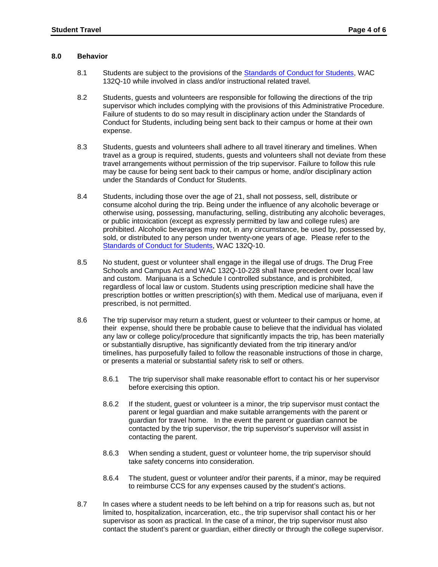#### **8.0 Behavior**

- 8.1 Students are subject to the provisions of the [Standards of Conduct for Students,](http://apps.leg.wa.gov/WAC/default.aspx?cite=132Q-10) WAC 132Q-10 while involved in class and/or instructional related travel.
- Failure of students to do so may result in disciplinary action under the Standards of 8.2 Students, guests and volunteers are responsible for following the directions of the trip supervisor which includes complying with the provisions of this Administrative Procedure. Conduct for Students, including being sent back to their campus or home at their own expense.
- 8.3 Students, guests and volunteers shall adhere to all travel itinerary and timelines. When travel as a group is required, students, guests and volunteers shall not deviate from these travel arrangements without permission of the trip supervisor. Failure to follow this rule may be cause for being sent back to their campus or home, and/or disciplinary action under the Standards of Conduct for Students.
- otherwise using, possessing, manufacturing, selling, distributing any alcoholic beverages, sold, or distributed to any person under twenty-one years of age. Please refer to the 8.4 Students, including those over the age of 21, shall not possess, sell, distribute or consume alcohol during the trip. Being under the influence of any alcoholic beverage or or public intoxication (except as expressly permitted by law and college rules) are prohibited. Alcoholic beverages may not, in any circumstance, be used by, possessed by, [Standards of Conduct for Students,](http://apps.leg.wa.gov/WAC/default.aspx?cite=132Q-10) WAC 132Q-10.
- regardless of local law or custom. Students using prescription medicine shall have the prescription bottles or written prescription(s) with them. Medical use of marijuana, even if 8.5 No student, guest or volunteer shall engage in the illegal use of drugs. The Drug Free Schools and Campus Act and WAC 132Q-10-228 shall have precedent over local law and custom. Marijuana is a Schedule I controlled substance, and is prohibited, prescribed, is not permitted.
- their expense, should there be probable cause to believe that the individual has violated or substantially disruptive, has significantly deviated from the trip itinerary and/or 8.6 The trip supervisor may return a student, guest or volunteer to their campus or home, at any law or college policy/procedure that significantly impacts the trip, has been materially timelines, has purposefully failed to follow the reasonable instructions of those in charge, or presents a material or substantial safety risk to self or others.
	- 8.6.1 The trip supervisor shall make reasonable effort to contact his or her supervisor before exercising this option.
	- parent or legal guardian and make suitable arrangements with the parent or guardian for travel home. In the event the parent or guardian cannot be 8.6.2 If the student, guest or volunteer is a minor, the trip supervisor must contact the contacted by the trip supervisor, the trip supervisor's supervisor will assist in contacting the parent.
	- 8.6.3 When sending a student, guest or volunteer home, the trip supervisor should take safety concerns into consideration.
	- 8.6.4 The student, guest or volunteer and/or their parents, if a minor, may be required to reimburse CCS for any expenses caused by the student's actions.
- 8.7 In cases where a student needs to be left behind on a trip for reasons such as, but not limited to, hospitalization, incarceration, etc., the trip supervisor shall contact his or her supervisor as soon as practical. In the case of a minor, the trip supervisor must also contact the student's parent or guardian, either directly or through the college supervisor.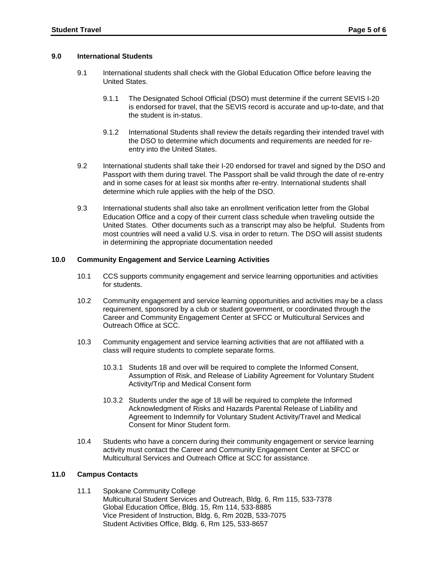#### **9.0 International Students**

- 9.1 International students shall check with the Global Education Office before leaving the United States.
	- 9.1.1 The Designated School Official (DSO) must determine if the current SEVIS I-20 is endorsed for travel, that the SEVIS record is accurate and up-to-date, and that the student is in-status.
	- 9.1.2 International Students shall review the details regarding their intended travel with the DSO to determine which documents and requirements are needed for reentry into the United States.
- determine which rule applies with the help of the DSO. 9.2 International students shall take their I-20 endorsed for travel and signed by the DSO and Passport with them during travel. The Passport shall be valid through the date of re-entry and in some cases for at least six months after re-entry. International students shall
- United States. Other documents such as a transcript may also be helpful. Students from 9.3 International students shall also take an enrollment verification letter from the Global Education Office and a copy of their current class schedule when traveling outside the most countries will need a valid U.S. visa in order to return. The DSO will assist students in determining the appropriate documentation needed

## **10.0 Community Engagement and Service Learning Activities**

- 10.1 CCS supports community engagement and service learning opportunities and activities for students.
- $10.2$ Community engagement and service learning opportunities and activities may be a class requirement, sponsored by a club or student government, or coordinated through the Career and Community Engagement Center at SFCC or Multicultural Services and Outreach Office at SCC.
- 10.3 Community engagement and service learning activities that are not affiliated with a class will require students to complete separate forms.
	- 10.3.1 Students 18 and over will be required to complete the Informed Consent, Assumption of Risk, and Release of Liability Agreement for Voluntary Student Activity/Trip and Medical Consent form
	- 10.3.2 Students under the age of 18 will be required to complete the Informed Acknowledgment of Risks and Hazards Parental Release of Liability and Agreement to Indemnify for Voluntary Student Activity/Travel and Medical Consent for Minor Student form.
- 10.4 Students who have a concern during their community engagement or service learning activity must contact the Career and Community Engagement Center at SFCC or Multicultural Services and Outreach Office at SCC for assistance.

## **11.0 Campus Contacts**

 Multicultural Student Services and Outreach, Bldg. 6, Rm 115, 533-7378 Vice President of Instruction, Bldg. 6, Rm 202B, 533-7075 11.1 Spokane Community College Global Education Office, Bldg. 15, Rm 114, 533-8885 Student Activities Office, Bldg. 6, Rm 125, 533-8657